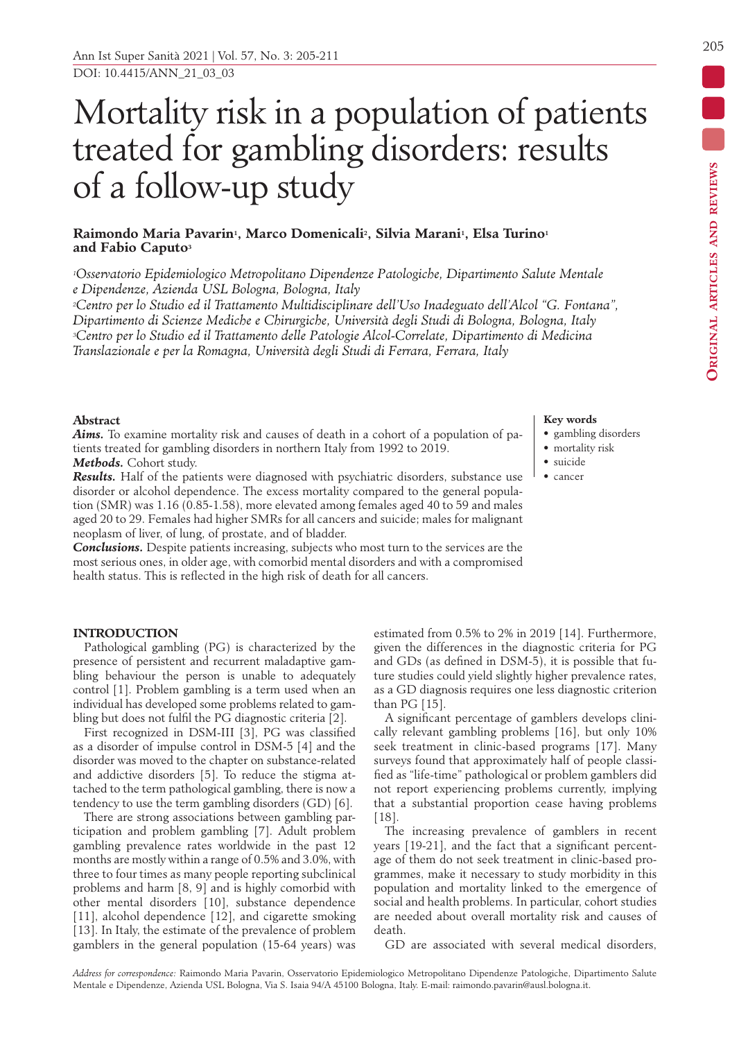# Mortality risk in a population of patients treated for gambling disorders: results of a follow-up study

# **Raimondo Maria Pavarin1, Marco Domenicali2, Silvia Marani1, Elsa Turino1 and Fabio Caputo3**

*1Osservatorio Epidemiologico Metropolitano Dipendenze Patologiche, Dipartimento Salute Mentale e Dipendenze, Azienda USL Bologna, Bologna, Italy*

*2Centro per lo Studio ed il Trattamento Multidisciplinare dell'Uso Inadeguato dell'Alcol "G. Fontana", Dipartimento di Scienze Mediche e Chirurgiche, Università degli Studi di Bologna, Bologna, Italy 3Centro per lo Studio ed il Trattamento delle Patologie Alcol-Correlate, Dipartimento di Medicina Translazionale e per la Romagna, Università degli Studi di Ferrara, Ferrara, Italy*

# **Abstract**

*Aims.* To examine mortality risk and causes of death in a cohort of a population of patients treated for gambling disorders in northern Italy from 1992 to 2019. *Methods.* Cohort study.

*Results.* Half of the patients were diagnosed with psychiatric disorders, substance use disorder or alcohol dependence. The excess mortality compared to the general population (SMR) was 1.16 (0.85-1.58), more elevated among females aged 40 to 59 and males aged 20 to 29. Females had higher SMRs for all cancers and suicide; males for malignant neoplasm of liver, of lung, of prostate, and of bladder.

*Conclusions.* Despite patients increasing, subjects who most turn to the services are the most serious ones, in older age, with comorbid mental disorders and with a compromised health status. This is reflected in the high risk of death for all cancers.

## **INTRODUCTION**

Pathological gambling (PG) is characterized by the presence of persistent and recurrent maladaptive gambling behaviour the person is unable to adequately control [1]. Problem gambling is a term used when an individual has developed some problems related to gambling but does not fulfil the PG diagnostic criteria [2].

First recognized in DSM-III [3], PG was classified as a disorder of impulse control in DSM-5 [4] and the disorder was moved to the chapter on substance-related and addictive disorders [5]. To reduce the stigma attached to the term pathological gambling, there is now a tendency to use the term gambling disorders (GD) [6].

There are strong associations between gambling participation and problem gambling [7]. Adult problem gambling prevalence rates worldwide in the past 12 months are mostly within a range of 0.5% and 3.0%, with three to four times as many people reporting subclinical problems and harm [8, 9] and is highly comorbid with other mental disorders [10], substance dependence [11], alcohol dependence [12], and cigarette smoking [13]. In Italy, the estimate of the prevalence of problem gamblers in the general population (15-64 years) was

## **Key words**

- gambling disorders
- mortality risk
- suicide
- cancer

estimated from 0.5% to 2% in 2019 [14]. Furthermore, given the differences in the diagnostic criteria for PG and GDs (as defined in DSM-5), it is possible that future studies could yield slightly higher prevalence rates, as a GD diagnosis requires one less diagnostic criterion than PG [15].

A significant percentage of gamblers develops clinically relevant gambling problems [16], but only 10% seek treatment in clinic-based programs [17]. Many surveys found that approximately half of people classified as "life-time" pathological or problem gamblers did not report experiencing problems currently, implying that a substantial proportion cease having problems [18].

The increasing prevalence of gamblers in recent years [19-21], and the fact that a significant percentage of them do not seek treatment in clinic-based programmes, make it necessary to study morbidity in this population and mortality linked to the emergence of social and health problems. In particular, cohort studies are needed about overall mortality risk and causes of death.

GD are associated with several medical disorders,

 $\overline{\phantom{a}}$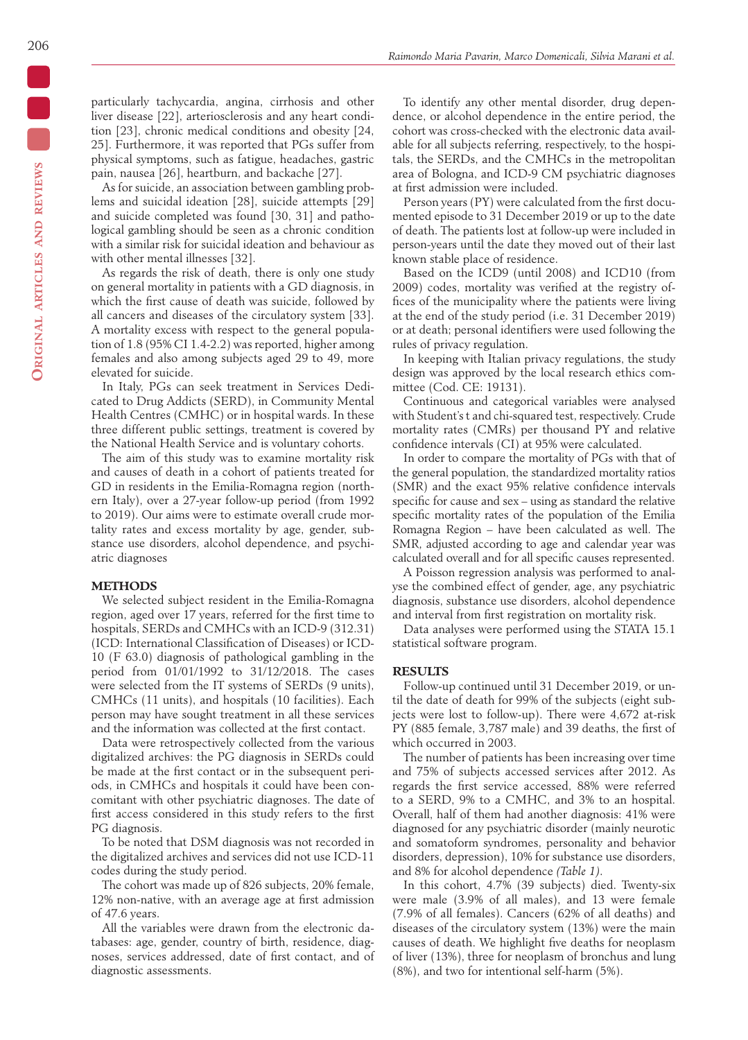particularly tachycardia, angina, cirrhosis and other liver disease [22], arteriosclerosis and any heart condition [23], chronic medical conditions and obesity [24, 25]. Furthermore, it was reported that PGs suffer from physical symptoms, such as fatigue, headaches, gastric pain, nausea [26], heartburn, and backache [27].

As for suicide, an association between gambling problems and suicidal ideation [28], suicide attempts [29] and suicide completed was found [30, 31] and pathological gambling should be seen as a chronic condition with a similar risk for suicidal ideation and behaviour as with other mental illnesses [32].

As regards the risk of death, there is only one study on general mortality in patients with a GD diagnosis, in which the first cause of death was suicide, followed by all cancers and diseases of the circulatory system [33]. A mortality excess with respect to the general population of 1.8 (95% CI 1.4-2.2) was reported, higher among females and also among subjects aged 29 to 49, more elevated for suicide.

In Italy, PGs can seek treatment in Services Dedicated to Drug Addicts (SERD), in Community Mental Health Centres (CMHC) or in hospital wards. In these three different public settings, treatment is covered by the National Health Service and is voluntary cohorts.

The aim of this study was to examine mortality risk and causes of death in a cohort of patients treated for GD in residents in the Emilia-Romagna region (northern Italy), over a 27-year follow-up period (from 1992 to 2019). Our aims were to estimate overall crude mortality rates and excess mortality by age, gender, substance use disorders, alcohol dependence, and psychiatric diagnoses

### **METHODS**

We selected subject resident in the Emilia-Romagna region, aged over 17 years, referred for the first time to hospitals, SERDs and CMHCs with an ICD-9 (312.31) (ICD: International Classification of Diseases) or ICD-10 (F 63.0) diagnosis of pathological gambling in the period from 01/01/1992 to 31/12/2018. The cases were selected from the IT systems of SERDs (9 units), CMHCs (11 units), and hospitals (10 facilities). Each person may have sought treatment in all these services and the information was collected at the first contact.

Data were retrospectively collected from the various digitalized archives: the PG diagnosis in SERDs could be made at the first contact or in the subsequent periods, in CMHCs and hospitals it could have been concomitant with other psychiatric diagnoses. The date of first access considered in this study refers to the first PG diagnosis.

To be noted that DSM diagnosis was not recorded in the digitalized archives and services did not use ICD-11 codes during the study period.

The cohort was made up of 826 subjects, 20% female, 12% non-native, with an average age at first admission of 47.6 years.

All the variables were drawn from the electronic databases: age, gender, country of birth, residence, diagnoses, services addressed, date of first contact, and of diagnostic assessments.

To identify any other mental disorder, drug dependence, or alcohol dependence in the entire period, the cohort was cross-checked with the electronic data available for all subjects referring, respectively, to the hospitals, the SERDs, and the CMHCs in the metropolitan area of Bologna, and ICD-9 CM psychiatric diagnoses at first admission were included.

Person years (PY) were calculated from the first documented episode to 31 December 2019 or up to the date of death. The patients lost at follow-up were included in person-years until the date they moved out of their last known stable place of residence.

Based on the ICD9 (until 2008) and ICD10 (from 2009) codes, mortality was verified at the registry offices of the municipality where the patients were living at the end of the study period (i.e. 31 December 2019) or at death; personal identifiers were used following the rules of privacy regulation.

In keeping with Italian privacy regulations, the study design was approved by the local research ethics committee (Cod. CE: 19131).

Continuous and categorical variables were analysed with Student's t and chi-squared test, respectively. Crude mortality rates (CMRs) per thousand PY and relative confidence intervals (CI) at 95% were calculated.

In order to compare the mortality of PGs with that of the general population, the standardized mortality ratios (SMR) and the exact 95% relative confidence intervals specific for cause and sex – using as standard the relative specific mortality rates of the population of the Emilia Romagna Region – have been calculated as well. The SMR, adjusted according to age and calendar year was calculated overall and for all specific causes represented.

A Poisson regression analysis was performed to analyse the combined effect of gender, age, any psychiatric diagnosis, substance use disorders, alcohol dependence and interval from first registration on mortality risk.

Data analyses were performed using the STATA 15.1 statistical software program.

#### **RESULTS**

Follow-up continued until 31 December 2019, or until the date of death for 99% of the subjects (eight subjects were lost to follow-up). There were 4,672 at-risk PY (885 female, 3,787 male) and 39 deaths, the first of which occurred in 2003.

The number of patients has been increasing over time and 75% of subjects accessed services after 2012. As regards the first service accessed, 88% were referred to a SERD, 9% to a CMHC, and 3% to an hospital. Overall, half of them had another diagnosis: 41% were diagnosed for any psychiatric disorder (mainly neurotic and somatoform syndromes, personality and behavior disorders, depression), 10% for substance use disorders, and 8% for alcohol dependence *(Table 1)*.

In this cohort, 4.7% (39 subjects) died. Twenty-six were male (3.9% of all males), and 13 were female (7.9% of all females). Cancers (62% of all deaths) and diseases of the circulatory system (13%) were the main causes of death. We highlight five deaths for neoplasm of liver (13%), three for neoplasm of bronchus and lung (8%), and two for intentional self-harm (5%).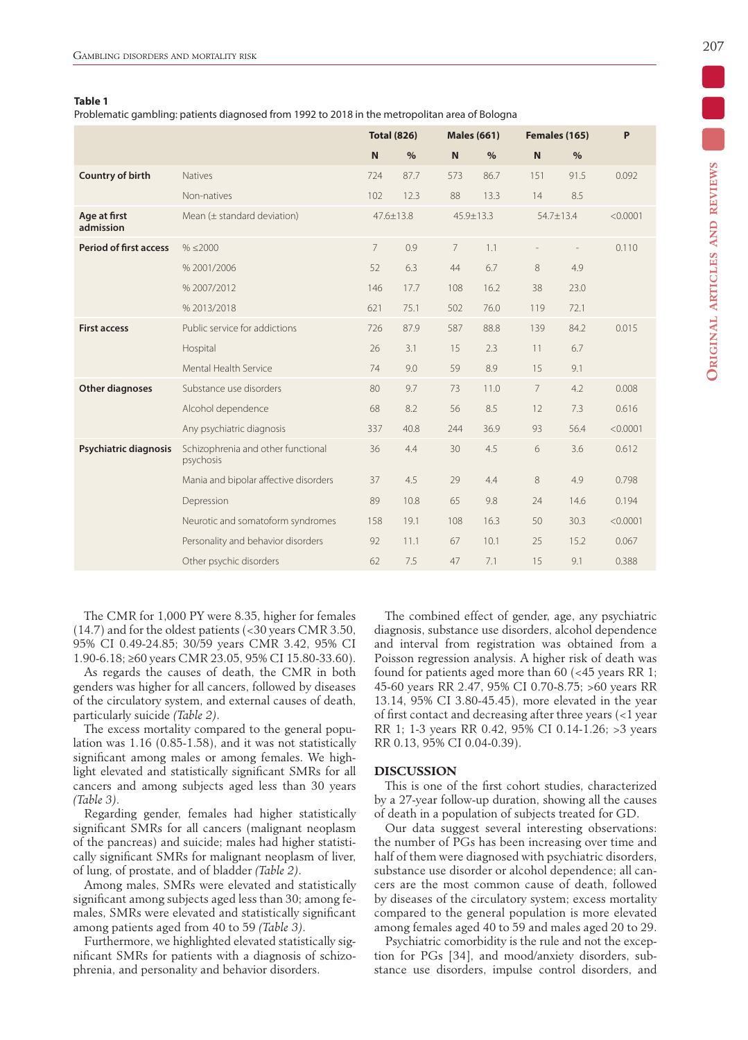#### **Table 1**

Problematic gambling: patients diagnosed from 1992 to 2018 in the metropolitan area of Bologna

|                               |                                                 | <b>Total (826)</b> |      |                | <b>Males (661)</b> |              | Females (165)  |          |
|-------------------------------|-------------------------------------------------|--------------------|------|----------------|--------------------|--------------|----------------|----------|
|                               |                                                 | N                  | $\%$ | N              | $\%$               | $\mathsf{N}$ | %              |          |
| Country of birth              | <b>Natives</b>                                  | 724                | 87.7 | 573            | 86.7               | 151          | 91.5           | 0.092    |
|                               | Non-natives                                     | 102                | 12.3 | 88             | 13.3               | 14           | 8.5            |          |
| Age at first<br>admission     | Mean $(\pm$ standard deviation)                 | $47.6 \pm 13.8$    |      | 45.9±13.3      |                    | 54.7±13.4    |                | < 0.0001 |
| <b>Period of first access</b> | $% \leq 2000$                                   | $\overline{7}$     | 0.9  | $\overline{7}$ | 1.1                |              | $\overline{a}$ | 0.110    |
|                               | %2001/2006                                      | 52                 | 6.3  | 44             | 6.7                | 8            | 4.9            |          |
|                               | %2007/2012                                      | 146                | 17.7 | 108            | 16.2               | 38           | 23.0           |          |
|                               | %2013/2018                                      | 621                | 75.1 | 502            | 76.0               | 119          | 72.1           |          |
| <b>First access</b>           | Public service for addictions                   | 726                | 87.9 | 587            | 88.8               | 139          | 84.2           | 0.015    |
|                               | Hospital                                        | 26                 | 3.1  | 15             | 2.3                | 11           | 6.7            |          |
|                               | Mental Health Service                           | 74                 | 9.0  | 59             | 8.9                | 15           | 9.1            |          |
| <b>Other diagnoses</b>        | Substance use disorders                         | 80                 | 9.7  | 73             | 11.0               | 7            | 4.2            | 0.008    |
|                               | Alcohol dependence                              | 68                 | 8.2  | 56             | 8.5                | 12           | 7.3            | 0.616    |
|                               | Any psychiatric diagnosis                       | 337                | 40.8 | 244            | 36.9               | 93           | 56.4           | < 0.0001 |
| Psychiatric diagnosis         | Schizophrenia and other functional<br>psychosis | 36                 | 4.4  | 30             | 4.5                | 6            | 3.6            | 0.612    |
|                               | Mania and bipolar affective disorders           | 37                 | 4.5  | 29             | 4.4                | 8            | 4.9            | 0.798    |
|                               | Depression                                      | 89                 | 10.8 | 65             | 9.8                | 24           | 14.6           | 0.194    |
|                               | Neurotic and somatoform syndromes               | 158                | 19.1 | 108            | 16.3               | 50           | 30.3           | < 0.0001 |
|                               | Personality and behavior disorders              | 92                 | 11.1 | 67             | 10.1               | 25           | 15.2           | 0.067    |
|                               | Other psychic disorders                         | 62                 | 7.5  | 47             | 7.1                | 15           | 9.1            | 0.388    |

The CMR for 1,000 PY were 8.35, higher for females (14.7) and for the oldest patients (<30 years CMR 3.50, 95% CI 0.49-24.85; 30/59 years CMR 3.42, 95% CI 1.90-6.18; ≥60 years CMR 23.05, 95% CI 15.80-33.60).

As regards the causes of death, the CMR in both genders was higher for all cancers, followed by diseases of the circulatory system, and external causes of death, particularly suicide *(Table 2)*.

The excess mortality compared to the general population was 1.16 (0.85-1.58), and it was not statistically significant among males or among females. We highlight elevated and statistically significant SMRs for all cancers and among subjects aged less than 30 years *(Table 3)*.

Regarding gender, females had higher statistically significant SMRs for all cancers (malignant neoplasm of the pancreas) and suicide; males had higher statistically significant SMRs for malignant neoplasm of liver, of lung, of prostate, and of bladder *(Table 2)*.

Among males, SMRs were elevated and statistically significant among subjects aged less than 30; among females, SMRs were elevated and statistically significant among patients aged from 40 to 59 *(Table 3)*.

Furthermore, we highlighted elevated statistically significant SMRs for patients with a diagnosis of schizophrenia, and personality and behavior disorders.

The combined effect of gender, age, any psychiatric diagnosis, substance use disorders, alcohol dependence and interval from registration was obtained from a Poisson regression analysis. A higher risk of death was found for patients aged more than 60 (<45 years RR 1; 45-60 years RR 2.47, 95% CI 0.70-8.75; >60 years RR 13.14, 95% CI 3.80-45.45), more elevated in the year of first contact and decreasing after three years (<1 year RR 1; 1-3 years RR 0.42, 95% CI 0.14-1.26; >3 years RR 0.13, 95% CI 0.04-0.39).

## **DISCUSSION**

This is one of the first cohort studies, characterized by a 27-year follow-up duration, showing all the causes of death in a population of subjects treated for GD.

Our data suggest several interesting observations: the number of PGs has been increasing over time and half of them were diagnosed with psychiatric disorders, substance use disorder or alcohol dependence; all cancers are the most common cause of death, followed by diseases of the circulatory system; excess mortality compared to the general population is more elevated among females aged 40 to 59 and males aged 20 to 29.

Psychiatric comorbidity is the rule and not the exception for PGs [34], and mood/anxiety disorders, substance use disorders, impulse control disorders, and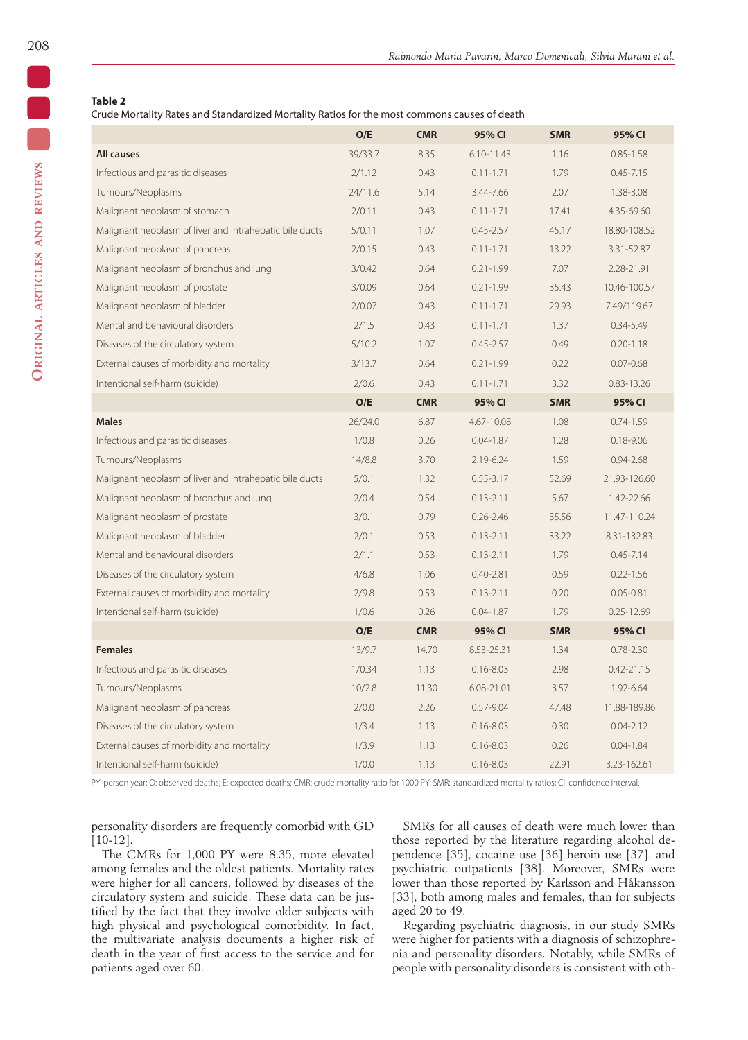## **Table 2**

Crude Mortality Rates and Standardized Mortality Ratios for the most commons causes of death

|                                                         | O/E     | <b>CMR</b> | 95% CI        | <b>SMR</b> | 95% CI         |
|---------------------------------------------------------|---------|------------|---------------|------------|----------------|
| <b>All causes</b>                                       | 39/33.7 | 8.35       | 6.10-11.43    | 1.16       | $0.85 - 1.58$  |
| Infectious and parasitic diseases                       | 2/1.12  | 0.43       | $0.11 - 1.71$ | 1.79       | $0.45 - 7.15$  |
| Tumours/Neoplasms                                       | 24/11.6 | 5.14       | 3.44-7.66     | 2.07       | 1.38-3.08      |
| Malignant neoplasm of stomach                           | 2/0.11  | 0.43       | $0.11 - 1.71$ | 17.41      | 4.35-69.60     |
| Malignant neoplasm of liver and intrahepatic bile ducts | 5/0.11  | 1.07       | $0.45 - 2.57$ | 45.17      | 18.80-108.52   |
| Malignant neoplasm of pancreas                          | 2/0.15  | 0.43       | $0.11 - 1.71$ | 13.22      | 3.31-52.87     |
| Malignant neoplasm of bronchus and lung                 | 3/0.42  | 0.64       | $0.21 - 1.99$ | 7.07       | 2.28-21.91     |
| Malignant neoplasm of prostate                          | 3/0.09  | 0.64       | $0.21 - 1.99$ | 35.43      | 10.46-100.57   |
| Malignant neoplasm of bladder                           | 2/0.07  | 0.43       | $0.11 - 1.71$ | 29.93      | 7.49/119.67    |
| Mental and behavioural disorders                        | 2/1.5   | 0.43       | $0.11 - 1.71$ | 1.37       | $0.34 - 5.49$  |
| Diseases of the circulatory system                      | 5/10.2  | 1.07       | $0.45 - 2.57$ | 0.49       | $0.20 - 1.18$  |
| External causes of morbidity and mortality              | 3/13.7  | 0.64       | $0.21 - 1.99$ | 0.22       | $0.07 - 0.68$  |
| Intentional self-harm (suicide)                         | 2/0.6   | 0.43       | $0.11 - 1.71$ | 3.32       | $0.83 - 13.26$ |
|                                                         | O/E     | <b>CMR</b> | 95% CI        | <b>SMR</b> | 95% CI         |
| <b>Males</b>                                            | 26/24.0 | 6.87       | 4.67-10.08    | 1.08       | $0.74 - 1.59$  |
| Infectious and parasitic diseases                       | 1/0.8   | 0.26       | $0.04 - 1.87$ | 1.28       | $0.18 - 9.06$  |
| Tumours/Neoplasms                                       | 14/8.8  | 3.70       | 2.19-6.24     | 1.59       | $0.94 - 2.68$  |
| Malignant neoplasm of liver and intrahepatic bile ducts | 5/0.1   | 1.32       | $0.55 - 3.17$ | 52.69      | 21.93-126.60   |
| Malignant neoplasm of bronchus and lung                 | 2/0.4   | 0.54       | $0.13 - 2.11$ | 5.67       | 1.42-22.66     |
| Malignant neoplasm of prostate                          | 3/0.1   | 0.79       | $0.26 - 2.46$ | 35.56      | 11.47-110.24   |
| Malignant neoplasm of bladder                           | 2/0.1   | 0.53       | $0.13 - 2.11$ | 33.22      | 8.31-132.83    |
| Mental and behavioural disorders                        | 2/1.1   | 0.53       | $0.13 - 2.11$ | 1.79       | $0.45 - 7.14$  |
| Diseases of the circulatory system                      | 4/6.8   | 1.06       | $0.40 - 2.81$ | 0.59       | $0.22 - 1.56$  |
| External causes of morbidity and mortality              | 2/9.8   | 0.53       | $0.13 - 2.11$ | 0.20       | $0.05 - 0.81$  |
| Intentional self-harm (suicide)                         | 1/0.6   | 0.26       | $0.04 - 1.87$ | 1.79       | $0.25 - 12.69$ |
|                                                         | O/E     | <b>CMR</b> | 95% CI        | <b>SMR</b> | 95% CI         |
| <b>Females</b>                                          | 13/9.7  | 14.70      | 8.53-25.31    | 1.34       | $0.78 - 2.30$  |
| Infectious and parasitic diseases                       | 1/0.34  | 1.13       | $0.16 - 8.03$ | 2.98       | $0.42 - 21.15$ |
| Tumours/Neoplasms                                       | 10/2.8  | 11.30      | 6.08-21.01    | 3.57       | 1.92-6.64      |
| Malignant neoplasm of pancreas                          | 2/0.0   | 2.26       | $0.57 - 9.04$ | 47.48      | 11.88-189.86   |
| Diseases of the circulatory system                      | 1/3.4   | 1.13       | $0.16 - 8.03$ | 0.30       | $0.04 - 2.12$  |
| External causes of morbidity and mortality              | 1/3.9   | 1.13       | $0.16 - 8.03$ | 0.26       | $0.04 - 1.84$  |
| Intentional self-harm (suicide)                         | 1/0.0   | 1.13       | $0.16 - 8.03$ | 22.91      | 3.23-162.61    |

PY: person year; O: observed deaths; E: expected deaths; CMR: crude mortality ratio for 1000 PY; SMR: standardized mortality ratios; CI: confidence interval.

personality disorders are frequently comorbid with GD [10-12].

The CMRs for 1,000 PY were 8.35, more elevated among females and the oldest patients. Mortality rates were higher for all cancers, followed by diseases of the circulatory system and suicide. These data can be justified by the fact that they involve older subjects with high physical and psychological comorbidity. In fact, the multivariate analysis documents a higher risk of death in the year of first access to the service and for patients aged over 60.

SMRs for all causes of death were much lower than those reported by the literature regarding alcohol dependence [35], cocaine use [36] heroin use [37], and psychiatric outpatients [38]. Moreover, SMRs were lower than those reported by Karlsson and Håkansson [33], both among males and females, than for subjects aged 20 to 49.

Regarding psychiatric diagnosis, in our study SMRs were higher for patients with a diagnosis of schizophrenia and personality disorders. Notably, while SMRs of people with personality disorders is consistent with oth-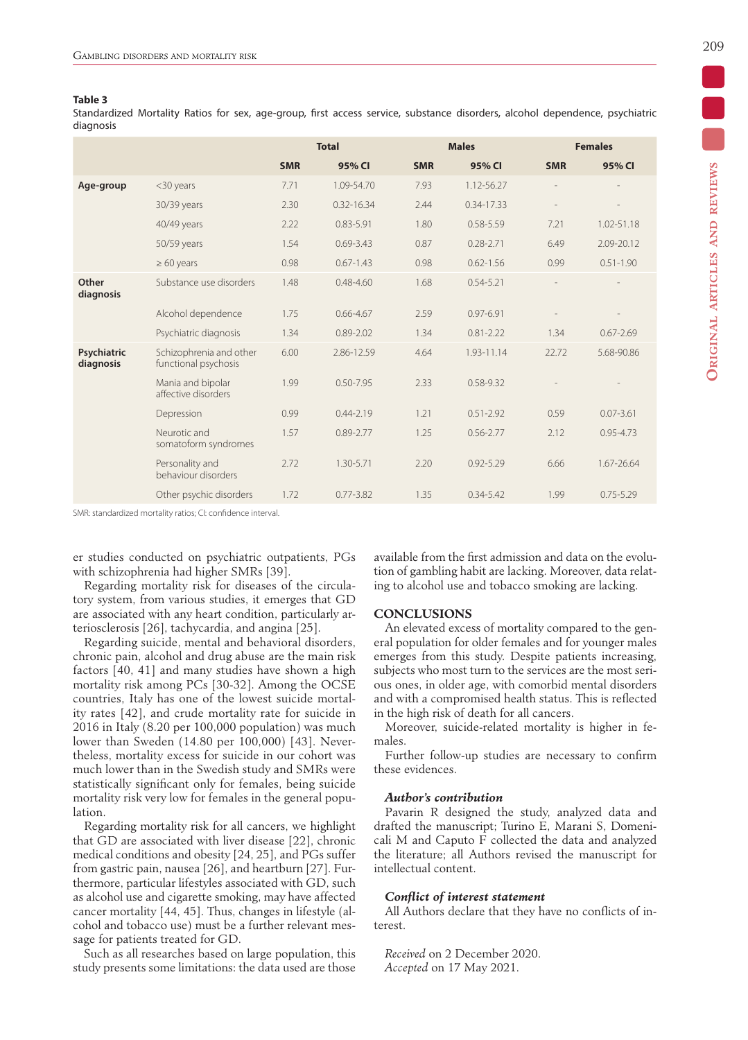### **Table 3**

Standardized Mortality Ratios for sex, age-group, first access service, substance disorders, alcohol dependence, psychiatric diagnosis

|                          |                                                 | <b>Total</b> |                |            | <b>Males</b>   |            | <b>Females</b> |  |  |
|--------------------------|-------------------------------------------------|--------------|----------------|------------|----------------|------------|----------------|--|--|
|                          |                                                 | <b>SMR</b>   | 95% CI         | <b>SMR</b> | 95% CI         | <b>SMR</b> | 95% CI         |  |  |
| Age-group                | <30 years                                       | 7.71         | 1.09-54.70     | 7.93       | 1.12-56.27     |            |                |  |  |
|                          | 30/39 years                                     | 2.30         | $0.32 - 16.34$ | 2.44       | $0.34 - 17.33$ |            |                |  |  |
|                          | 40/49 years                                     | 2.22         | $0.83 - 5.91$  | 1.80       | $0.58 - 5.59$  | 7.21       | 1.02-51.18     |  |  |
|                          | 50/59 years                                     | 1.54         | $0.69 - 3.43$  | 0.87       | $0.28 - 2.71$  | 6.49       | 2.09-20.12     |  |  |
|                          | $\geq 60$ years                                 | 0.98         | $0.67 - 1.43$  | 0.98       | $0.62 - 1.56$  | 0.99       | $0.51 - 1.90$  |  |  |
| Other<br>diagnosis       | Substance use disorders                         | 1.48         | $0.48 - 4.60$  | 1.68       | $0.54 - 5.21$  |            |                |  |  |
|                          | Alcohol dependence                              | 1.75         | $0.66 - 4.67$  | 2.59       | $0.97 - 6.91$  |            |                |  |  |
|                          | Psychiatric diagnosis                           | 1.34         | $0.89 - 2.02$  | 1.34       | $0.81 - 2.22$  | 1.34       | $0.67 - 2.69$  |  |  |
| Psychiatric<br>diagnosis | Schizophrenia and other<br>functional psychosis | 6.00         | 2.86-12.59     | 4.64       | 1.93-11.14     | 22.72      | 5.68-90.86     |  |  |
|                          | Mania and bipolar<br>affective disorders        | 1.99         | $0.50 - 7.95$  | 2.33       | 0.58-9.32      |            |                |  |  |
|                          | Depression                                      | 0.99         | $0.44 - 2.19$  | 1.21       | $0.51 - 2.92$  | 0.59       | $0.07 - 3.61$  |  |  |
|                          | Neurotic and<br>somatoform syndromes            | 1.57         | $0.89 - 2.77$  | 1.25       | $0.56 - 2.77$  | 2.12       | $0.95 - 4.73$  |  |  |
|                          | Personality and<br>behaviour disorders          | 2.72         | 1.30-5.71      | 2.20       | $0.92 - 5.29$  | 6.66       | 1.67-26.64     |  |  |
|                          | Other psychic disorders                         | 1.72         | $0.77 - 3.82$  | 1.35       | $0.34 - 5.42$  | 1.99       | $0.75 - 5.29$  |  |  |

SMR: standardized mortality ratios; CI: confidence interval.

er studies conducted on psychiatric outpatients, PGs with schizophrenia had higher SMRs [39].

Regarding mortality risk for diseases of the circulatory system, from various studies, it emerges that GD are associated with any heart condition, particularly arteriosclerosis [26], tachycardia, and angina [25].

Regarding suicide, mental and behavioral disorders, chronic pain, alcohol and drug abuse are the main risk factors [40, 41] and many studies have shown a high mortality risk among PCs [30-32]. Among the OCSE countries, Italy has one of the lowest suicide mortality rates [42], and crude mortality rate for suicide in 2016 in Italy (8.20 per 100,000 population) was much lower than Sweden (14.80 per 100,000) [43]. Nevertheless, mortality excess for suicide in our cohort was much lower than in the Swedish study and SMRs were statistically significant only for females, being suicide mortality risk very low for females in the general population.

Regarding mortality risk for all cancers, we highlight that GD are associated with liver disease [22], chronic medical conditions and obesity [24, 25], and PGs suffer from gastric pain, nausea [26], and heartburn [27]. Furthermore, particular lifestyles associated with GD, such as alcohol use and cigarette smoking, may have affected cancer mortality [44, 45]. Thus, changes in lifestyle (alcohol and tobacco use) must be a further relevant message for patients treated for GD.

Such as all researches based on large population, this study presents some limitations: the data used are those available from the first admission and data on the evolution of gambling habit are lacking. Moreover, data relating to alcohol use and tobacco smoking are lacking.

#### **CONCLUSIONS**

An elevated excess of mortality compared to the general population for older females and for younger males emerges from this study. Despite patients increasing, subjects who most turn to the services are the most serious ones, in older age, with comorbid mental disorders and with a compromised health status. This is reflected in the high risk of death for all cancers.

Moreover, suicide-related mortality is higher in females.

Further follow-up studies are necessary to confirm these evidences.

### *Author's contribution*

Pavarin R designed the study, analyzed data and drafted the manuscript; Turino E, Marani S, Domenicali M and Caputo F collected the data and analyzed the literature; all Authors revised the manuscript for intellectual content.

## *Conflict of interest statement*

All Authors declare that they have no conflicts of interest.

*Received* on 2 December 2020. *Accepted* on 17 May 2021.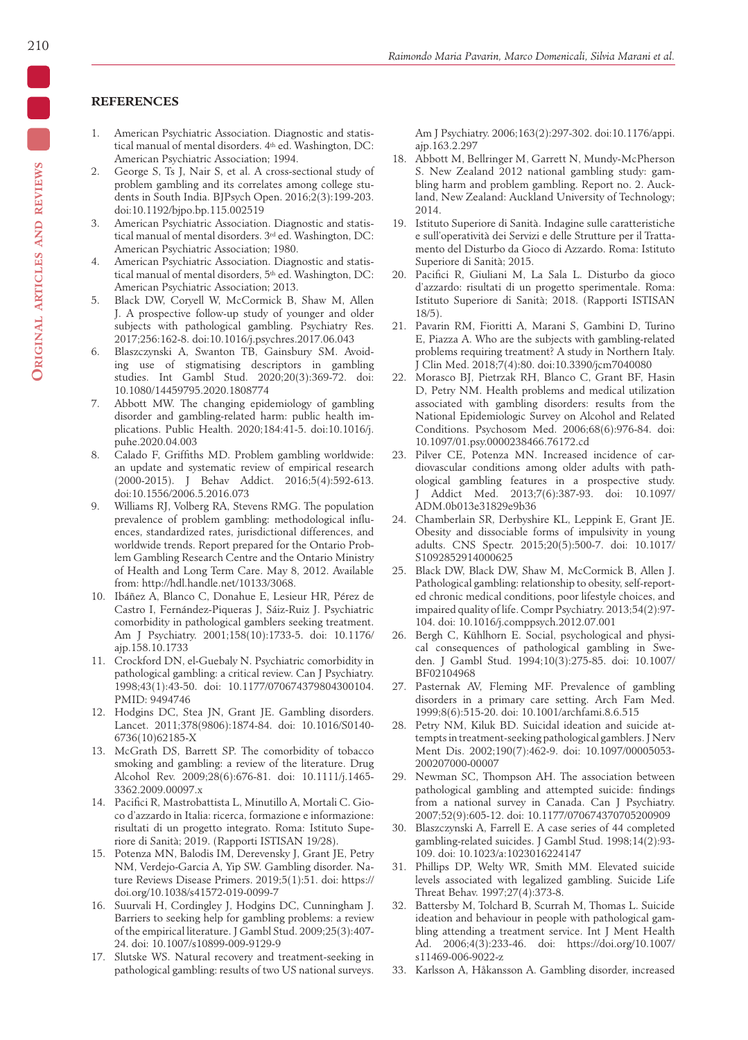# **REFERENCES**

- 1. American Psychiatric Association. Diagnostic and statistical manual of mental disorders. 4th ed. Washington, DC: American Psychiatric Association; 1994.
- 2. George S, Ts J, Nair S, et al. A cross-sectional study of problem gambling and its correlates among college students in South India. BJPsych Open. 2016;2(3):199-203. doi:10.1192/bjpo.bp.115.002519
- 3. American Psychiatric Association. Diagnostic and statistical manual of mental disorders. 3rd ed. Washington, DC: American Psychiatric Association; 1980.
- 4. American Psychiatric Association. Diagnostic and statistical manual of mental disorders, 5th ed. Washington, DC: American Psychiatric Association; 2013.
- 5. Black DW, Coryell W, McCormick B, Shaw M, Allen J. A prospective follow-up study of younger and older subjects with pathological gambling. Psychiatry Res. 2017;256:162-8. doi:10.1016/j.psychres.2017.06.043
- 6. Blaszczynski A, Swanton TB, Gainsbury SM. Avoiding use of stigmatising descriptors in gambling studies. Int Gambl Stud. 2020;20(3):369-72. doi: 10.1080/14459795.2020.1808774
- 7. Abbott MW. The changing epidemiology of gambling disorder and gambling-related harm: public health implications. Public Health. 2020;184:41-5. doi:10.1016/j. puhe.2020.04.003
- 8. Calado F, Griffiths MD. Problem gambling worldwide: an update and systematic review of empirical research (2000-2015). J Behav Addict. 2016;5(4):592-613. doi:10.1556/2006.5.2016.073
- 9. Williams RJ, Volberg RA, Stevens RMG. The population prevalence of problem gambling: methodological influences, standardized rates, jurisdictional differences, and worldwide trends. Report prepared for the Ontario Problem Gambling Research Centre and the Ontario Ministry of Health and Long Term Care. May 8, 2012. Available from: http://hdl.handle.net/10133/3068.
- 10. Ibáñez A, Blanco C, Donahue E, Lesieur HR, Pérez de Castro I, Fernández-Piqueras J, Sáiz-Ruiz J. Psychiatric comorbidity in pathological gamblers seeking treatment. Am J Psychiatry. 2001;158(10):1733-5. doi: 10.1176/ ajp.158.10.1733
- 11. Crockford DN, el-Guebaly N. Psychiatric comorbidity in pathological gambling: a critical review. Can J Psychiatry. 1998;43(1):43-50. doi: 10.1177/070674379804300104. PMID: 9494746
- 12. Hodgins DC, Stea JN, Grant JE. Gambling disorders. Lancet. 2011;378(9806):1874-84. doi: 10.1016/S0140- 6736(10)62185-X
- 13. McGrath DS, Barrett SP. The comorbidity of tobacco smoking and gambling: a review of the literature. Drug Alcohol Rev. 2009;28(6):676-81. doi: 10.1111/j.1465- 3362.2009.00097.x
- 14. Pacifici R, Mastrobattista L, Minutillo A, Mortali C. Gioco d'azzardo in Italia: ricerca, formazione e informazione: risultati di un progetto integrato. Roma: Istituto Superiore di Sanità; 2019. (Rapporti ISTISAN 19/28).
- 15. Potenza MN, Balodis IM, Derevensky J, Grant JE, Petry NM, Verdejo-Garcia A, Yip SW. Gambling disorder. Nature Reviews Disease Primers. 2019;5(1):51. doi: https:// doi.org/10.1038/s41572-019-0099-7
- 16. Suurvali H, Cordingley J, Hodgins DC, Cunningham J. Barriers to seeking help for gambling problems: a review of the empirical literature. J Gambl Stud. 2009;25(3):407- 24. doi: 10.1007/s10899-009-9129-9
- 17. Slutske WS. Natural recovery and treatment-seeking in pathological gambling: results of two US national surveys.

Am J Psychiatry. 2006;163(2):297-302. doi:10.1176/appi. ajp.163.2.297

- 18. Abbott M, Bellringer M, Garrett N, Mundy-McPherson S. New Zealand 2012 national gambling study: gambling harm and problem gambling. Report no. 2. Auckland, New Zealand: Auckland University of Technology; 2014.
- 19. Istituto Superiore di Sanità. Indagine sulle caratteristiche e sull'operatività dei Servizi e delle Strutture per il Trattamento del Disturbo da Gioco di Azzardo. Roma: Istituto Superiore di Sanità; 2015.
- 20. Pacifici R, Giuliani M, La Sala L. Disturbo da gioco d'azzardo: risultati di un progetto sperimentale. Roma: Istituto Superiore di Sanità; 2018. (Rapporti ISTISAN 18/5).
- 21. Pavarin RM, Fioritti A, Marani S, Gambini D, Turino E, Piazza A. Who are the subjects with gambling-related problems requiring treatment? A study in Northern Italy. J Clin Med. 2018;7(4):80. doi:10.3390/jcm7040080
- 22. Morasco BJ, Pietrzak RH, Blanco C, Grant BF, Hasin D, Petry NM. Health problems and medical utilization associated with gambling disorders: results from the National Epidemiologic Survey on Alcohol and Related Conditions. Psychosom Med. 2006;68(6):976-84. doi: 10.1097/01.psy.0000238466.76172.cd
- 23. Pilver CE, Potenza MN. Increased incidence of cardiovascular conditions among older adults with pathological gambling features in a prospective study. J Addict Med. 2013;7(6):387-93. doi: 10.1097/ ADM.0b013e31829e9b36
- 24. Chamberlain SR, Derbyshire KL, Leppink E, Grant JE. Obesity and dissociable forms of impulsivity in young adults. CNS Spectr. 2015;20(5):500-7. doi: 10.1017/ S1092852914000625
- 25. Black DW, Black DW, Shaw M, McCormick B, Allen J. Pathological gambling: relationship to obesity, self-reported chronic medical conditions, poor lifestyle choices, and impaired quality of life. Compr Psychiatry. 2013;54(2):97- 104. doi: 10.1016/j.comppsych.2012.07.001
- 26. Bergh C, Kühlhorn E. Social, psychological and physical consequences of pathological gambling in Sweden. J Gambl Stud. 1994;10(3):275-85. doi: 10.1007/ BF02104968
- 27. Pasternak AV, Fleming MF. Prevalence of gambling disorders in a primary care setting. Arch Fam Med. 1999;8(6):515-20. doi: 10.1001/archfami.8.6.515
- 28. Petry NM, Kiluk BD. Suicidal ideation and suicide attempts in treatment-seeking pathological gamblers. J Nerv Ment Dis. 2002;190(7):462-9. doi: 10.1097/00005053- 200207000-00007
- 29. Newman SC, Thompson AH. The association between pathological gambling and attempted suicide: findings from a national survey in Canada. Can J Psychiatry. 2007;52(9):605-12. doi: 10.1177/070674370705200909
- 30. Blaszczynski A, Farrell E. A case series of 44 completed gambling-related suicides. J Gambl Stud. 1998;14(2):93- 109. doi: 10.1023/a:1023016224147
- 31. Phillips DP, Welty WR, Smith MM. Elevated suicide levels associated with legalized gambling. Suicide Life Threat Behav. 1997;27(4):373-8.
- 32. Battersby M, Tolchard B, Scurrah M, Thomas L. Suicide ideation and behaviour in people with pathological gambling attending a treatment service. Int J Ment Health Ad. 2006;4(3):233-46. doi: https://doi.org/10.1007/ s11469-006-9022-z
- 33. Karlsson A, Håkansson A. Gambling disorder, increased